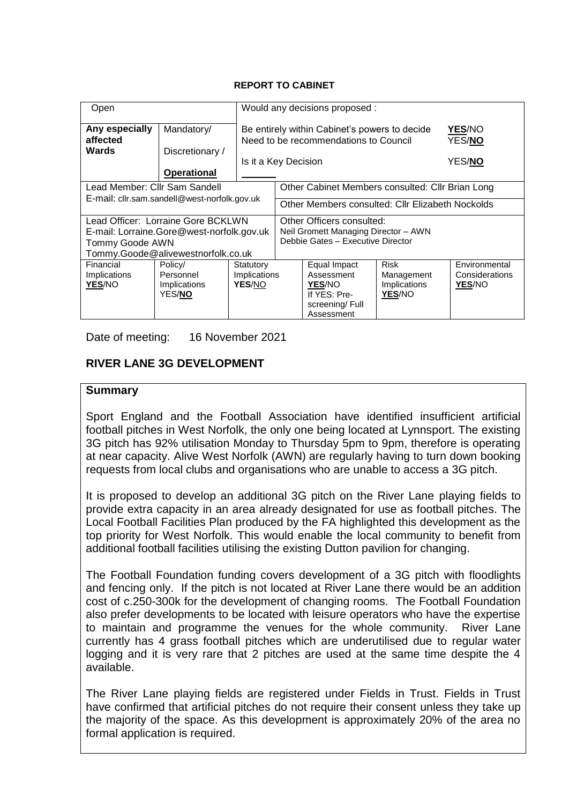#### **REPORT TO CABINET**

| Open                                                                                                                                     |                                                        |                                     | Would any decisions proposed :                                                                                                                              |                                                                                      |                                                     |                                           |  |
|------------------------------------------------------------------------------------------------------------------------------------------|--------------------------------------------------------|-------------------------------------|-------------------------------------------------------------------------------------------------------------------------------------------------------------|--------------------------------------------------------------------------------------|-----------------------------------------------------|-------------------------------------------|--|
| Any especially<br>affected<br><b>Wards</b>                                                                                               | Mandatory/<br>Discretionary /<br><b>Operational</b>    |                                     | Be entirely within Cabinet's powers to decide<br><b>YES/NO</b><br>Need to be recommendations to Council<br>YES/NO<br>YES/ <b>NO</b><br>Is it a Key Decision |                                                                                      |                                                     |                                           |  |
| Lead Member: Cllr Sam Sandell                                                                                                            |                                                        |                                     | Other Cabinet Members consulted: Cllr Brian Long                                                                                                            |                                                                                      |                                                     |                                           |  |
| E-mail: cllr.sam.sandell@west-norfolk.gov.uk                                                                                             |                                                        |                                     | Other Members consulted: Cllr Elizabeth Nockolds                                                                                                            |                                                                                      |                                                     |                                           |  |
| Lead Officer: Lorraine Gore BCKLWN<br>E-mail: Lorraine.Gore@west-norfolk.gov.uk<br>Tommy Goode AWN<br>Tommy.Goode@alivewestnorfolk.co.uk |                                                        |                                     | Other Officers consulted:<br>Neil Gromett Managing Director - AWN<br>Debbie Gates - Executive Director                                                      |                                                                                      |                                                     |                                           |  |
| Financial<br>Implications<br>YES/NO                                                                                                      | Policy/<br>Personnel<br>Implications<br>YES/ <b>NO</b> | Statutory<br>Implications<br>YES/NO |                                                                                                                                                             | Equal Impact<br>Assessment<br>YES/NO<br>If YES: Pre-<br>screening/Full<br>Assessment | <b>Risk</b><br>Management<br>Implications<br>YES/NO | Environmental<br>Considerations<br>YES/NO |  |

Date of meeting: 16 November 2021

# **RIVER LANE 3G DEVELOPMENT**

### **Summary**

Sport England and the Football Association have identified insufficient artificial football pitches in West Norfolk, the only one being located at Lynnsport. The existing 3G pitch has 92% utilisation Monday to Thursday 5pm to 9pm, therefore is operating at near capacity. Alive West Norfolk (AWN) are regularly having to turn down booking requests from local clubs and organisations who are unable to access a 3G pitch.

It is proposed to develop an additional 3G pitch on the River Lane playing fields to provide extra capacity in an area already designated for use as football pitches. The Local Football Facilities Plan produced by the FA highlighted this development as the top priority for West Norfolk. This would enable the local community to benefit from additional football facilities utilising the existing Dutton pavilion for changing.

The Football Foundation funding covers development of a 3G pitch with floodlights and fencing only. If the pitch is not located at River Lane there would be an addition cost of c.250-300k for the development of changing rooms. The Football Foundation also prefer developments to be located with leisure operators who have the expertise to maintain and programme the venues for the whole community. River Lane currently has 4 grass football pitches which are underutilised due to regular water logging and it is very rare that 2 pitches are used at the same time despite the 4 available.

The River Lane playing fields are registered under Fields in Trust. Fields in Trust have confirmed that artificial pitches do not require their consent unless they take up the majority of the space. As this development is approximately 20% of the area no formal application is required.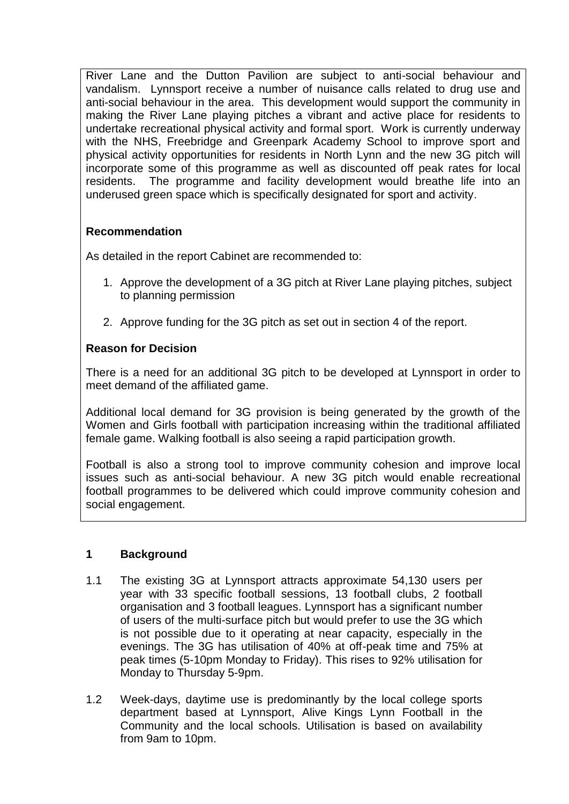River Lane and the Dutton Pavilion are subject to anti-social behaviour and vandalism. Lynnsport receive a number of nuisance calls related to drug use and anti-social behaviour in the area. This development would support the community in making the River Lane playing pitches a vibrant and active place for residents to undertake recreational physical activity and formal sport. Work is currently underway with the NHS, Freebridge and Greenpark Academy School to improve sport and physical activity opportunities for residents in North Lynn and the new 3G pitch will incorporate some of this programme as well as discounted off peak rates for local residents. The programme and facility development would breathe life into an underused green space which is specifically designated for sport and activity.

# **Recommendation**

As detailed in the report Cabinet are recommended to:

- 1. Approve the development of a 3G pitch at River Lane playing pitches, subject to planning permission
- 2. Approve funding for the 3G pitch as set out in section 4 of the report.

# **Reason for Decision**

There is a need for an additional 3G pitch to be developed at Lynnsport in order to meet demand of the affiliated game.

Additional local demand for 3G provision is being generated by the growth of the Women and Girls football with participation increasing within the traditional affiliated female game. Walking football is also seeing a rapid participation growth.

Football is also a strong tool to improve community cohesion and improve local issues such as anti-social behaviour. A new 3G pitch would enable recreational football programmes to be delivered which could improve community cohesion and social engagement.

# **1 Background**

- 1.1 The existing 3G at Lynnsport attracts approximate 54,130 users per year with 33 specific football sessions, 13 football clubs, 2 football organisation and 3 football leagues. Lynnsport has a significant number of users of the multi-surface pitch but would prefer to use the 3G which is not possible due to it operating at near capacity, especially in the evenings. The 3G has utilisation of 40% at off-peak time and 75% at peak times (5-10pm Monday to Friday). This rises to 92% utilisation for Monday to Thursday 5-9pm.
- 1.2 Week-days, daytime use is predominantly by the local college sports department based at Lynnsport, Alive Kings Lynn Football in the Community and the local schools. Utilisation is based on availability from 9am to 10pm.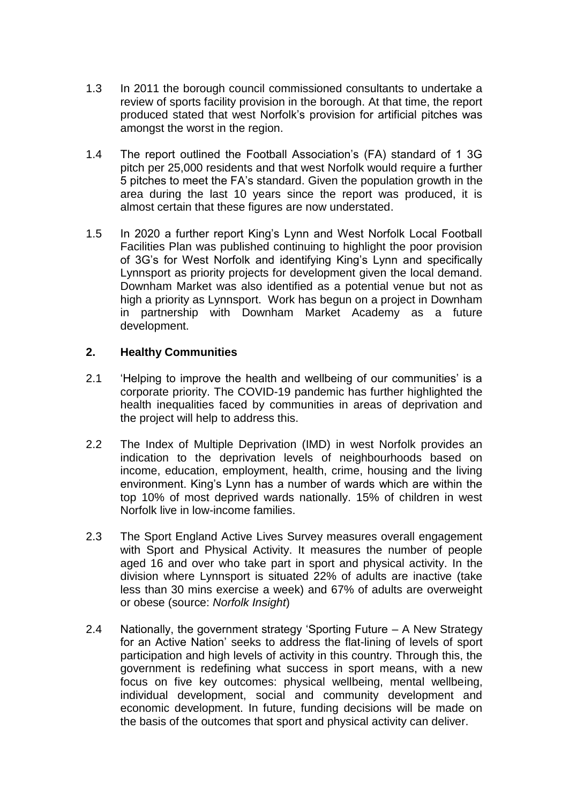- 1.3 In 2011 the borough council commissioned consultants to undertake a review of sports facility provision in the borough. At that time, the report produced stated that west Norfolk's provision for artificial pitches was amongst the worst in the region.
- 1.4 The report outlined the Football Association's (FA) standard of 1 3G pitch per 25,000 residents and that west Norfolk would require a further 5 pitches to meet the FA's standard. Given the population growth in the area during the last 10 years since the report was produced, it is almost certain that these figures are now understated.
- 1.5 In 2020 a further report King's Lynn and West Norfolk Local Football Facilities Plan was published continuing to highlight the poor provision of 3G's for West Norfolk and identifying King's Lynn and specifically Lynnsport as priority projects for development given the local demand. Downham Market was also identified as a potential venue but not as high a priority as Lynnsport. Work has begun on a project in Downham in partnership with Downham Market Academy as a future development.

### **2. Healthy Communities**

- 2.1 'Helping to improve the health and wellbeing of our communities' is a corporate priority. The COVID-19 pandemic has further highlighted the health inequalities faced by communities in areas of deprivation and the project will help to address this.
- 2.2 The Index of Multiple Deprivation (IMD) in west Norfolk provides an indication to the deprivation levels of neighbourhoods based on income, education, employment, health, crime, housing and the living environment. King's Lynn has a number of wards which are within the top 10% of most deprived wards nationally. 15% of children in west Norfolk live in low-income families.
- 2.3 The Sport England Active Lives Survey measures overall engagement with Sport and Physical Activity. It measures the number of people aged 16 and over who take part in sport and physical activity. In the division where Lynnsport is situated 22% of adults are inactive (take less than 30 mins exercise a week) and 67% of adults are overweight or obese (source: *Norfolk Insight*)
- 2.4 Nationally, the government strategy 'Sporting Future A New Strategy for an Active Nation' seeks to address the flat-lining of levels of sport participation and high levels of activity in this country. Through this, the government is redefining what success in sport means, with a new focus on five key outcomes: physical wellbeing, mental wellbeing, individual development, social and community development and economic development. In future, funding decisions will be made on the basis of the outcomes that sport and physical activity can deliver.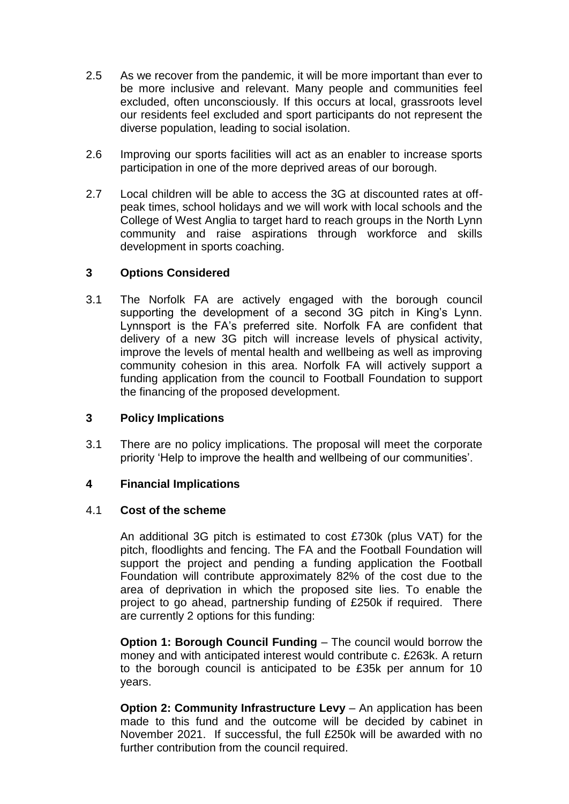- 2.5 As we recover from the pandemic, it will be more important than ever to be more inclusive and relevant. Many people and communities feel excluded, often unconsciously. If this occurs at local, grassroots level our residents feel excluded and sport participants do not represent the diverse population, leading to social isolation.
- 2.6 Improving our sports facilities will act as an enabler to increase sports participation in one of the more deprived areas of our borough.
- 2.7 Local children will be able to access the 3G at discounted rates at offpeak times, school holidays and we will work with local schools and the College of West Anglia to target hard to reach groups in the North Lynn community and raise aspirations through workforce and skills development in sports coaching.

### **3 Options Considered**

3.1 The Norfolk FA are actively engaged with the borough council supporting the development of a second 3G pitch in King's Lynn. Lynnsport is the FA's preferred site. Norfolk FA are confident that delivery of a new 3G pitch will increase levels of physical activity, improve the levels of mental health and wellbeing as well as improving community cohesion in this area. Norfolk FA will actively support a funding application from the council to Football Foundation to support the financing of the proposed development.

### **3 Policy Implications**

3.1 There are no policy implications. The proposal will meet the corporate priority 'Help to improve the health and wellbeing of our communities'.

### **4 Financial Implications**

### 4.1 **Cost of the scheme**

An additional 3G pitch is estimated to cost £730k (plus VAT) for the pitch, floodlights and fencing. The FA and the Football Foundation will support the project and pending a funding application the Football Foundation will contribute approximately 82% of the cost due to the area of deprivation in which the proposed site lies. To enable the project to go ahead, partnership funding of £250k if required. There are currently 2 options for this funding:

**Option 1: Borough Council Funding** – The council would borrow the money and with anticipated interest would contribute c. £263k. A return to the borough council is anticipated to be £35k per annum for 10 years.

**Option 2: Community Infrastructure Levy** – An application has been made to this fund and the outcome will be decided by cabinet in November 2021. If successful, the full £250k will be awarded with no further contribution from the council required.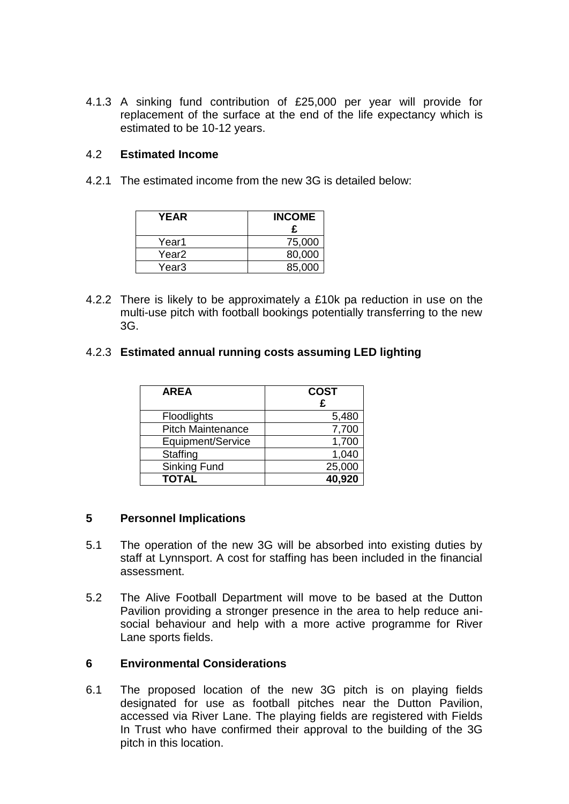4.1.3 A sinking fund contribution of £25,000 per year will provide for replacement of the surface at the end of the life expectancy which is estimated to be 10-12 years.

#### 4.2 **Estimated Income**

4.2.1 The estimated income from the new 3G is detailed below:

| <b>YEAR</b> | <b>INCOME</b><br>£ |
|-------------|--------------------|
| Year1       | 75,000             |
| Year2       | 80,000             |
| Year3       | 85,000             |

4.2.2 There is likely to be approximately a £10k pa reduction in use on the multi-use pitch with football bookings potentially transferring to the new 3G.

### 4.2.3 **Estimated annual running costs assuming LED lighting**

| <b>AREA</b>              | <b>COST</b><br>£ |
|--------------------------|------------------|
| Floodlights              | 5,480            |
| <b>Pitch Maintenance</b> | 7,700            |
| Equipment/Service        | 1,700            |
| Staffing                 | 1,040            |
| Sinking Fund             | 25,000           |
| <b>TOTAL</b>             | 40,920           |

#### **5 Personnel Implications**

- 5.1 The operation of the new 3G will be absorbed into existing duties by staff at Lynnsport. A cost for staffing has been included in the financial assessment.
- 5.2 The Alive Football Department will move to be based at the Dutton Pavilion providing a stronger presence in the area to help reduce anisocial behaviour and help with a more active programme for River Lane sports fields.

### **6 Environmental Considerations**

6.1 The proposed location of the new 3G pitch is on playing fields designated for use as football pitches near the Dutton Pavilion, accessed via River Lane. The playing fields are registered with Fields In Trust who have confirmed their approval to the building of the 3G pitch in this location.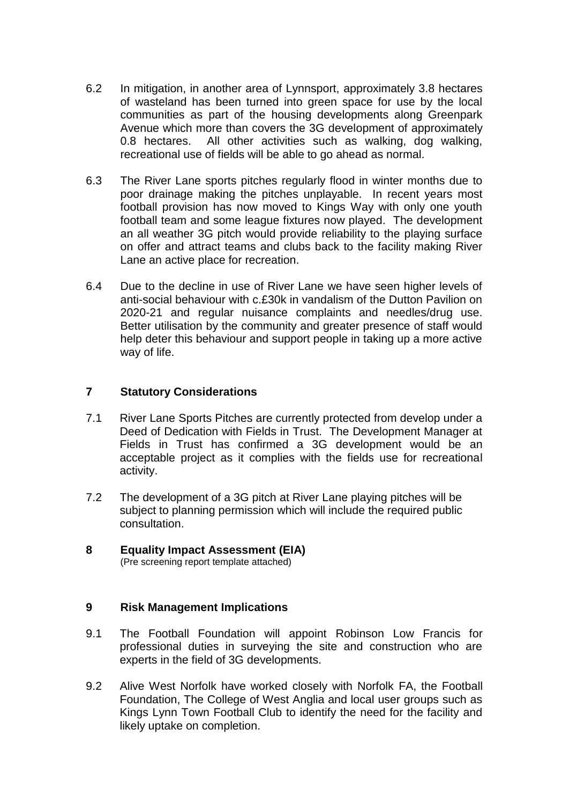- 6.2 In mitigation, in another area of Lynnsport, approximately 3.8 hectares of wasteland has been turned into green space for use by the local communities as part of the housing developments along Greenpark Avenue which more than covers the 3G development of approximately 0.8 hectares. All other activities such as walking, dog walking, recreational use of fields will be able to go ahead as normal.
- 6.3 The River Lane sports pitches regularly flood in winter months due to poor drainage making the pitches unplayable. In recent years most football provision has now moved to Kings Way with only one youth football team and some league fixtures now played. The development an all weather 3G pitch would provide reliability to the playing surface on offer and attract teams and clubs back to the facility making River Lane an active place for recreation.
- 6.4 Due to the decline in use of River Lane we have seen higher levels of anti-social behaviour with c.£30k in vandalism of the Dutton Pavilion on 2020-21 and regular nuisance complaints and needles/drug use. Better utilisation by the community and greater presence of staff would help deter this behaviour and support people in taking up a more active way of life.

### **7 Statutory Considerations**

- 7.1 River Lane Sports Pitches are currently protected from develop under a Deed of Dedication with Fields in Trust. The Development Manager at Fields in Trust has confirmed a 3G development would be an acceptable project as it complies with the fields use for recreational activity.
- 7.2 The development of a 3G pitch at River Lane playing pitches will be subject to planning permission which will include the required public consultation.
- **8 Equality Impact Assessment (EIA)** (Pre screening report template attached)

### **9 Risk Management Implications**

- 9.1 The Football Foundation will appoint Robinson Low Francis for professional duties in surveying the site and construction who are experts in the field of 3G developments.
- 9.2 Alive West Norfolk have worked closely with Norfolk FA, the Football Foundation, The College of West Anglia and local user groups such as Kings Lynn Town Football Club to identify the need for the facility and likely uptake on completion.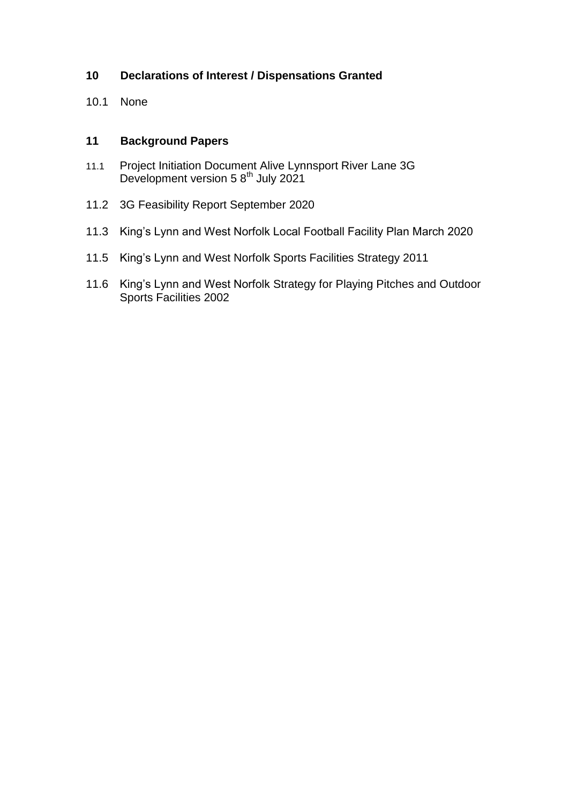# **10 Declarations of Interest / Dispensations Granted**

10.1 None

## **11 Background Papers**

- 11.1 Project Initiation Document Alive Lynnsport River Lane 3G Development version 5  $8<sup>th</sup>$  July 2021
- 11.2 3G Feasibility Report September 2020
- 11.3 King's Lynn and West Norfolk Local Football Facility Plan March 2020
- 11.5 King's Lynn and West Norfolk Sports Facilities Strategy 2011
- 11.6 King's Lynn and West Norfolk Strategy for Playing Pitches and Outdoor Sports Facilities 2002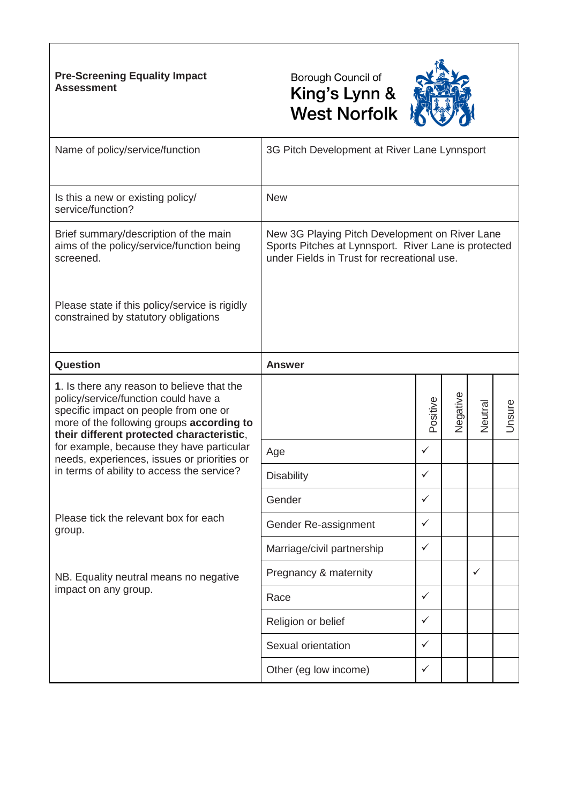### **Pre-Screening Equality Impact Assessment**





| Name of policy/service/function                                                                                                                                                                                       | 3G Pitch Development at River Lane Lynnsport                                                                                                          |              |          |         |        |
|-----------------------------------------------------------------------------------------------------------------------------------------------------------------------------------------------------------------------|-------------------------------------------------------------------------------------------------------------------------------------------------------|--------------|----------|---------|--------|
| Is this a new or existing policy/<br>service/function?                                                                                                                                                                | <b>New</b>                                                                                                                                            |              |          |         |        |
| Brief summary/description of the main<br>aims of the policy/service/function being<br>screened.                                                                                                                       | New 3G Playing Pitch Development on River Lane<br>Sports Pitches at Lynnsport. River Lane is protected<br>under Fields in Trust for recreational use. |              |          |         |        |
| Please state if this policy/service is rigidly<br>constrained by statutory obligations                                                                                                                                |                                                                                                                                                       |              |          |         |        |
| Question                                                                                                                                                                                                              | <b>Answer</b>                                                                                                                                         |              |          |         |        |
| 1. Is there any reason to believe that the<br>policy/service/function could have a<br>specific impact on people from one or<br>more of the following groups according to<br>their different protected characteristic, |                                                                                                                                                       | Positive     | Negative | Veutral | Unsure |
| for example, because they have particular                                                                                                                                                                             | Age                                                                                                                                                   | ✓            |          |         |        |
| needs, experiences, issues or priorities or<br>in terms of ability to access the service?                                                                                                                             | <b>Disability</b>                                                                                                                                     | ✓            |          |         |        |
|                                                                                                                                                                                                                       | Gender                                                                                                                                                | ✓            |          |         |        |
| Please tick the relevant box for each<br>group.                                                                                                                                                                       | Gender Re-assignment                                                                                                                                  | ✓            |          |         |        |
|                                                                                                                                                                                                                       | Marriage/civil partnership                                                                                                                            | ✓            |          |         |        |
| NB. Equality neutral means no negative                                                                                                                                                                                | Pregnancy & maternity                                                                                                                                 |              |          | ✓       |        |
| impact on any group.                                                                                                                                                                                                  | Race                                                                                                                                                  | ✓            |          |         |        |
|                                                                                                                                                                                                                       | Religion or belief                                                                                                                                    | $\checkmark$ |          |         |        |
|                                                                                                                                                                                                                       | Sexual orientation                                                                                                                                    | $\checkmark$ |          |         |        |
|                                                                                                                                                                                                                       | Other (eg low income)                                                                                                                                 | $\checkmark$ |          |         |        |